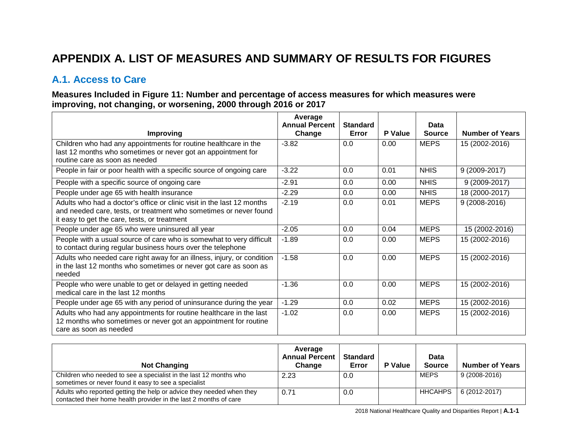# **APPENDIX A. LIST OF MEASURES AND SUMMARY OF RESULTS FOR FIGURES**

### **A.1. Access to Care**

### **Measures Included in Figure 11: Number and percentage of access measures for which measures were improving, not changing, or worsening, 2000 through 2016 or 2017**

|                                                                                                                                                                                             | Average<br><b>Annual Percent</b> | <b>Standard</b><br>Error | <b>P</b> Value | Data<br><b>Source</b> | <b>Number of Years</b> |
|---------------------------------------------------------------------------------------------------------------------------------------------------------------------------------------------|----------------------------------|--------------------------|----------------|-----------------------|------------------------|
| Improving                                                                                                                                                                                   | Change                           |                          |                |                       |                        |
| Children who had any appointments for routine healthcare in the<br>last 12 months who sometimes or never got an appointment for<br>routine care as soon as needed                           | $-3.82$                          | 0.0                      | 0.00           | <b>MEPS</b>           | 15 (2002-2016)         |
| People in fair or poor health with a specific source of ongoing care                                                                                                                        | $-3.22$                          | 0.0                      | 0.01           | <b>NHIS</b>           | 9 (2009-2017)          |
| People with a specific source of ongoing care                                                                                                                                               | $-2.91$                          | 0.0                      | 0.00           | <b>NHIS</b>           | 9 (2009-2017)          |
| People under age 65 with health insurance                                                                                                                                                   | $-2.29$                          | 0.0                      | 0.00           | <b>NHIS</b>           | 18 (2000-2017)         |
| Adults who had a doctor's office or clinic visit in the last 12 months<br>and needed care, tests, or treatment who sometimes or never found<br>it easy to get the care, tests, or treatment | $-2.19$                          | 0.0                      | 0.01           | <b>MEPS</b>           | 9 (2008-2016)          |
| People under age 65 who were uninsured all year                                                                                                                                             | $-2.05$                          | 0.0                      | 0.04           | <b>MEPS</b>           | 15 (2002-2016)         |
| People with a usual source of care who is somewhat to very difficult<br>to contact during regular business hours over the telephone                                                         | $-1.89$                          | 0.0                      | 0.00           | <b>MEPS</b>           | 15 (2002-2016)         |
| Adults who needed care right away for an illness, injury, or condition<br>in the last 12 months who sometimes or never got care as soon as<br>needed                                        | $-1.58$                          | 0.0                      | 0.00           | <b>MEPS</b>           | 15 (2002-2016)         |
| People who were unable to get or delayed in getting needed<br>medical care in the last 12 months                                                                                            | $-1.36$                          | 0.0                      | 0.00           | <b>MEPS</b>           | 15 (2002-2016)         |
| People under age 65 with any period of uninsurance during the year                                                                                                                          | $-1.29$                          | 0.0                      | 0.02           | <b>MEPS</b>           | 15 (2002-2016)         |
| Adults who had any appointments for routine healthcare in the last<br>12 months who sometimes or never got an appointment for routine<br>care as soon as needed                             | $-1.02$                          | 0.0                      | 0.00           | <b>MEPS</b>           | 15 (2002-2016)         |

| <b>Not Changing</b>                                                                                                                       | Average<br><b>Annual Percent</b><br>Change | <b>Standard</b><br>Error | <b>P</b> Value | Data<br><b>Source</b> | <b>Number of Years</b> |
|-------------------------------------------------------------------------------------------------------------------------------------------|--------------------------------------------|--------------------------|----------------|-----------------------|------------------------|
| Children who needed to see a specialist in the last 12 months who<br>sometimes or never found it easy to see a specialist                 | 2.23                                       | 0.0                      |                | MEPS                  | 9 (2008-2016)          |
| Adults who reported getting the help or advice they needed when they<br>contacted their home health provider in the last 2 months of care | 0.71                                       | 0.0                      |                | <b>HHCAHPS</b>        | 6 (2012-2017)          |

2018 National Healthcare Quality and Disparities Report | **A.1-1**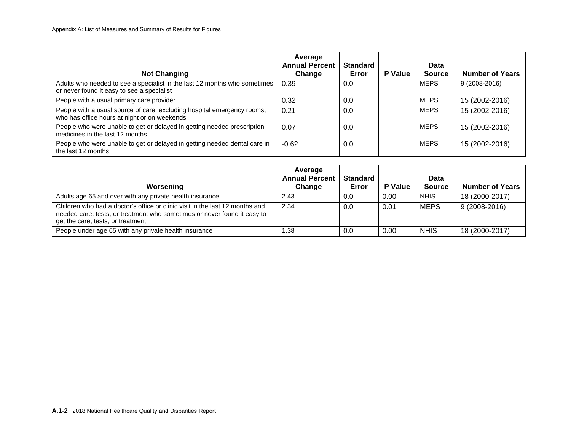| <b>Not Changing</b>                                                                                                     | Average<br><b>Annual Percent</b><br>Change | <b>Standard</b><br>Error | P Value | <b>Data</b><br><b>Source</b> | <b>Number of Years</b> |
|-------------------------------------------------------------------------------------------------------------------------|--------------------------------------------|--------------------------|---------|------------------------------|------------------------|
| Adults who needed to see a specialist in the last 12 months who sometimes<br>or never found it easy to see a specialist | 0.39                                       | 0.0                      |         | <b>MEPS</b>                  | $9(2008-2016)$         |
| People with a usual primary care provider                                                                               | 0.32                                       | 0.0                      |         | <b>MEPS</b>                  | 15 (2002-2016)         |
| People with a usual source of care, excluding hospital emergency rooms,<br>who has office hours at night or on weekends | 0.21                                       | 0.0                      |         | <b>MEPS</b>                  | 15 (2002-2016)         |
| People who were unable to get or delayed in getting needed prescription<br>medicines in the last 12 months              | 0.07                                       | 0.0                      |         | <b>MEPS</b>                  | 15 (2002-2016)         |
| People who were unable to get or delayed in getting needed dental care in<br>the last 12 months                         | $-0.62$                                    | 0.0                      |         | <b>MEPS</b>                  | 15 (2002-2016)         |

| Worsening                                                                                                                                                                                     | Average<br><b>Annual Percent</b><br>Change | <b>Standard</b><br>Error | <b>P</b> Value | Data<br><b>Source</b> | <b>Number of Years</b> |
|-----------------------------------------------------------------------------------------------------------------------------------------------------------------------------------------------|--------------------------------------------|--------------------------|----------------|-----------------------|------------------------|
| Adults age 65 and over with any private health insurance                                                                                                                                      | 2.43                                       | 0.0                      | 0.00           | <b>NHIS</b>           | 18 (2000-2017)         |
| Children who had a doctor's office or clinic visit in the last 12 months and<br>needed care, tests, or treatment who sometimes or never found it easy to<br>get the care, tests, or treatment | 2.34                                       | 0.0                      | 0.01           | MEPS                  | $9(2008-2016)$         |
| People under age 65 with any private health insurance                                                                                                                                         | .38                                        | 0.0                      | 0.00           | <b>NHIS</b>           | 18 (2000-2017)         |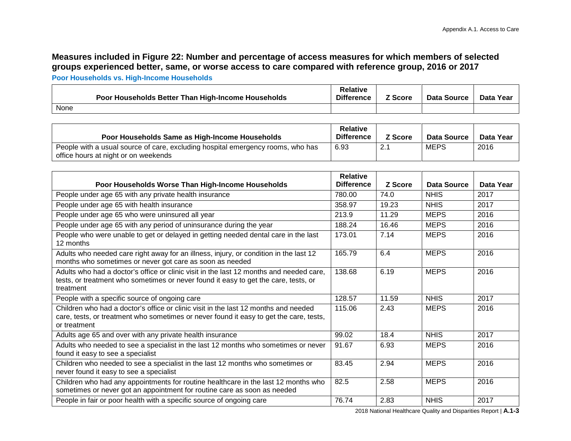## **Measures included in Figure 22: Number and percentage of access measures for which members of selected groups experienced better, same, or worse access to care compared with reference group, 2016 or 2017**

**Poor Households vs. High-Income Households**

|      | Poor Households Better Than High-Income Households | Relative<br><b>Difference</b> | Z Score | Data Source | Data Year |
|------|----------------------------------------------------|-------------------------------|---------|-------------|-----------|
| None |                                                    |                               |         |             |           |

| Poor Households Same as High-Income Households                                                                          | <b>Relative</b><br><b>Difference</b> | <b>Z</b> Score | Data Source | Data Year |
|-------------------------------------------------------------------------------------------------------------------------|--------------------------------------|----------------|-------------|-----------|
| People with a usual source of care, excluding hospital emergency rooms, who has<br>office hours at night or on weekends | 6.93                                 |                | MEPS        | 2016      |

| Poor Households Worse Than High-Income Households                                                                                                                                             | <b>Relative</b><br><b>Difference</b> | <b>Z</b> Score | Data Source | Data Year |
|-----------------------------------------------------------------------------------------------------------------------------------------------------------------------------------------------|--------------------------------------|----------------|-------------|-----------|
| People under age 65 with any private health insurance                                                                                                                                         | 780.00                               | 74.0           | <b>NHIS</b> | 2017      |
| People under age 65 with health insurance                                                                                                                                                     | 358.97                               | 19.23          | <b>NHIS</b> | 2017      |
| People under age 65 who were uninsured all year                                                                                                                                               | 213.9                                | 11.29          | <b>MEPS</b> | 2016      |
| People under age 65 with any period of uninsurance during the year                                                                                                                            | 188.24                               | 16.46          | <b>MEPS</b> | 2016      |
| People who were unable to get or delayed in getting needed dental care in the last<br>12 months                                                                                               | 173.01                               | 7.14           | <b>MEPS</b> | 2016      |
| Adults who needed care right away for an illness, injury, or condition in the last 12<br>months who sometimes or never got care as soon as needed                                             | 165.79                               | 6.4            | <b>MEPS</b> | 2016      |
| Adults who had a doctor's office or clinic visit in the last 12 months and needed care.<br>tests, or treatment who sometimes or never found it easy to get the care, tests, or<br>treatment   | 138.68                               | 6.19           | <b>MEPS</b> | 2016      |
| People with a specific source of ongoing care                                                                                                                                                 | 128.57                               | 11.59          | <b>NHIS</b> | 2017      |
| Children who had a doctor's office or clinic visit in the last 12 months and needed<br>care, tests, or treatment who sometimes or never found it easy to get the care, tests,<br>or treatment | 115.06                               | 2.43           | <b>MEPS</b> | 2016      |
| Adults age 65 and over with any private health insurance                                                                                                                                      | 99.02                                | 18.4           | <b>NHIS</b> | 2017      |
| Adults who needed to see a specialist in the last 12 months who sometimes or never<br>found it easy to see a specialist                                                                       | 91.67                                | 6.93           | <b>MEPS</b> | 2016      |
| Children who needed to see a specialist in the last 12 months who sometimes or<br>never found it easy to see a specialist                                                                     | 83.45                                | 2.94           | <b>MEPS</b> | 2016      |
| Children who had any appointments for routine healthcare in the last 12 months who<br>sometimes or never got an appointment for routine care as soon as needed                                | 82.5                                 | 2.58           | <b>MEPS</b> | 2016      |
| People in fair or poor health with a specific source of ongoing care                                                                                                                          | 76.74                                | 2.83           | <b>NHIS</b> | 2017      |

2018 National Healthcare Quality and Disparities Report | **A.1-3**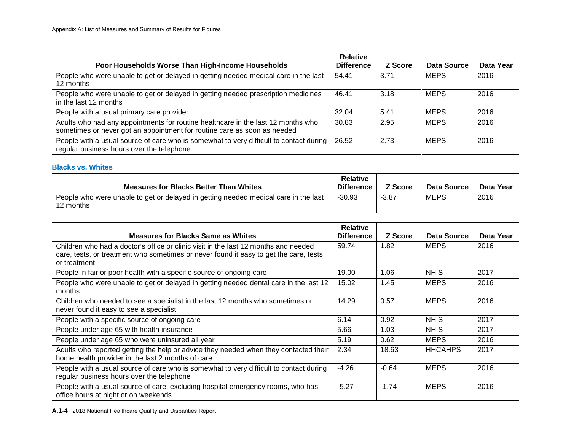| Poor Households Worse Than High-Income Households                                                                                                            | <b>Relative</b><br><b>Difference</b> | Z Score | Data Source | Data Year |
|--------------------------------------------------------------------------------------------------------------------------------------------------------------|--------------------------------------|---------|-------------|-----------|
| People who were unable to get or delayed in getting needed medical care in the last<br>12 months                                                             | 54.41                                | 3.71    | <b>MEPS</b> | 2016      |
| People who were unable to get or delayed in getting needed prescription medicines<br>in the last 12 months                                                   | 46.41                                | 3.18    | <b>MEPS</b> | 2016      |
| People with a usual primary care provider                                                                                                                    | 32.04                                | 5.41    | <b>MEPS</b> | 2016      |
| Adults who had any appointments for routine healthcare in the last 12 months who<br>sometimes or never got an appointment for routine care as soon as needed | 30.83                                | 2.95    | <b>MEPS</b> | 2016      |
| People with a usual source of care who is somewhat to very difficult to contact during<br>regular business hours over the telephone                          | 26.52                                | 2.73    | <b>MEPS</b> | 2016      |

#### **Blacks vs. Whites**

| <b>Measures for Blacks Better Than Whites</b>                                                    | <b>Relative</b><br><b>Difference</b> | <b>Z</b> Score | Data Source | Data Year |
|--------------------------------------------------------------------------------------------------|--------------------------------------|----------------|-------------|-----------|
| People who were unable to get or delayed in getting needed medical care in the last<br>12 months | $-30.93$                             | -3.87          | <b>MEPS</b> | 2016      |

| <b>Measures for Blacks Same as Whites</b>                                                                                                                                                     | <b>Relative</b><br><b>Difference</b> | Z Score | Data Source    | Data Year |
|-----------------------------------------------------------------------------------------------------------------------------------------------------------------------------------------------|--------------------------------------|---------|----------------|-----------|
| Children who had a doctor's office or clinic visit in the last 12 months and needed<br>care, tests, or treatment who sometimes or never found it easy to get the care, tests,<br>or treatment | 59.74                                | 1.82    | <b>MEPS</b>    | 2016      |
| People in fair or poor health with a specific source of ongoing care                                                                                                                          | 19.00                                | 1.06    | <b>NHIS</b>    | 2017      |
| People who were unable to get or delayed in getting needed dental care in the last 12<br>months                                                                                               | 15.02                                | 1.45    | <b>MEPS</b>    | 2016      |
| Children who needed to see a specialist in the last 12 months who sometimes or<br>never found it easy to see a specialist                                                                     | 14.29                                | 0.57    | <b>MEPS</b>    | 2016      |
| People with a specific source of ongoing care                                                                                                                                                 | 6.14                                 | 0.92    | <b>NHIS</b>    | 2017      |
| People under age 65 with health insurance                                                                                                                                                     | 5.66                                 | 1.03    | <b>NHIS</b>    | 2017      |
| People under age 65 who were uninsured all year                                                                                                                                               | 5.19                                 | 0.62    | <b>MEPS</b>    | 2016      |
| Adults who reported getting the help or advice they needed when they contacted their<br>home health provider in the last 2 months of care                                                     | 2.34                                 | 18.63   | <b>HHCAHPS</b> | 2017      |
| People with a usual source of care who is somewhat to very difficult to contact during<br>regular business hours over the telephone                                                           | $-4.26$                              | $-0.64$ | <b>MEPS</b>    | 2016      |
| People with a usual source of care, excluding hospital emergency rooms, who has<br>office hours at night or on weekends                                                                       | $-5.27$                              | $-1.74$ | <b>MEPS</b>    | 2016      |

**A.1-4** | 2018 National Healthcare Quality and Disparities Report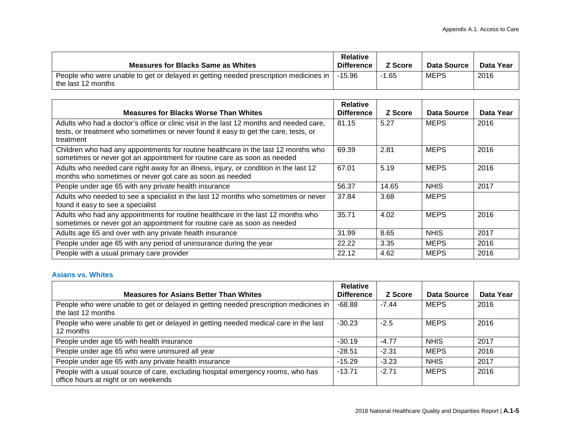| <b>Measures for Blacks Same as Whites</b>                                                                    | <b>Relative</b><br><b>Difference</b> | <b>Z</b> Score | Data Source | Data Year |
|--------------------------------------------------------------------------------------------------------------|--------------------------------------|----------------|-------------|-----------|
| People who were unable to get or delayed in getting needed prescription medicines in  <br>the last 12 months | $-15.96$                             | 1.65           | <b>MEPS</b> | 2016      |

| <b>Measures for Blacks Worse Than Whites</b>                                                                                                                                                | <b>Relative</b><br><b>Difference</b> | Z Score | Data Source | Data Year |
|---------------------------------------------------------------------------------------------------------------------------------------------------------------------------------------------|--------------------------------------|---------|-------------|-----------|
| Adults who had a doctor's office or clinic visit in the last 12 months and needed care,<br>tests, or treatment who sometimes or never found it easy to get the care, tests, or<br>treatment | 81.15                                | 5.27    | <b>MEPS</b> | 2016      |
| Children who had any appointments for routine healthcare in the last 12 months who<br>sometimes or never got an appointment for routine care as soon as needed                              | 69.39                                | 2.81    | <b>MEPS</b> | 2016      |
| Adults who needed care right away for an illness, injury, or condition in the last 12<br>months who sometimes or never got care as soon as needed                                           | 67.01                                | 5.19    | <b>MEPS</b> | 2016      |
| People under age 65 with any private health insurance                                                                                                                                       | 56.37                                | 14.65   | <b>NHIS</b> | 2017      |
| Adults who needed to see a specialist in the last 12 months who sometimes or never<br>found it easy to see a specialist                                                                     | 37.84                                | 3.68    | <b>MEPS</b> |           |
| Adults who had any appointments for routine healthcare in the last 12 months who<br>sometimes or never got an appointment for routine care as soon as needed                                | 35.71                                | 4.02    | <b>MEPS</b> | 2016      |
| Adults age 65 and over with any private health insurance                                                                                                                                    | 31.99                                | 8.65    | <b>NHIS</b> | 2017      |
| People under age 65 with any period of uninsurance during the year                                                                                                                          | 22.22                                | 3.35    | <b>MEPS</b> | 2016      |
| People with a usual primary care provider                                                                                                                                                   | 22.12                                | 4.62    | <b>MEPS</b> | 2016      |

#### **Asians vs. Whites**

|                                                                                                                         | <b>Relative</b>   |         |             |           |
|-------------------------------------------------------------------------------------------------------------------------|-------------------|---------|-------------|-----------|
| <b>Measures for Asians Better Than Whites</b>                                                                           | <b>Difference</b> | Z Score | Data Source | Data Year |
| People who were unable to get or delayed in getting needed prescription medicines in<br>the last 12 months              | $-68.88$          | $-7.44$ | <b>MEPS</b> | 2016      |
| People who were unable to get or delayed in getting needed medical care in the last<br>12 months                        | $-30.23$          | $-2.5$  | <b>MEPS</b> | 2016      |
| People under age 65 with health insurance                                                                               | $-30.19$          | $-4.77$ | <b>NHIS</b> | 2017      |
| People under age 65 who were uninsured all year                                                                         | $-28.51$          | $-2.31$ | <b>MEPS</b> | 2016      |
| People under age 65 with any private health insurance                                                                   | $-15.29$          | $-3.23$ | <b>NHIS</b> | 2017      |
| People with a usual source of care, excluding hospital emergency rooms, who has<br>office hours at night or on weekends | $-13.71$          | $-2.71$ | <b>MEPS</b> | 2016      |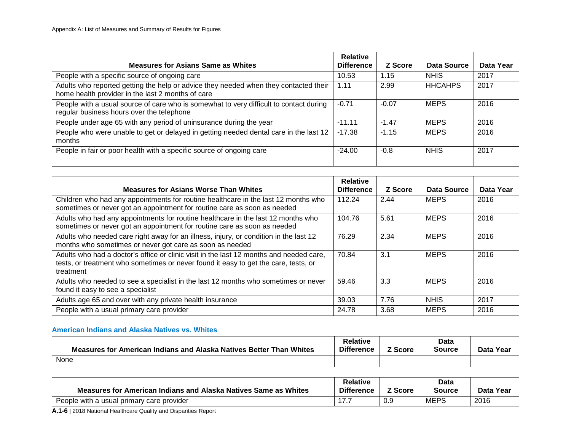| <b>Measures for Asians Same as Whites</b>                                                                                                 | <b>Relative</b><br><b>Difference</b> | Z Score | Data Source    | Data Year |
|-------------------------------------------------------------------------------------------------------------------------------------------|--------------------------------------|---------|----------------|-----------|
| People with a specific source of ongoing care                                                                                             | 10.53                                | 1.15    | <b>NHIS</b>    | 2017      |
| Adults who reported getting the help or advice they needed when they contacted their<br>home health provider in the last 2 months of care | 1.11                                 | 2.99    | <b>HHCAHPS</b> | 2017      |
| People with a usual source of care who is somewhat to very difficult to contact during<br>regular business hours over the telephone       | $-0.71$                              | $-0.07$ | <b>MEPS</b>    | 2016      |
| People under age 65 with any period of uninsurance during the year                                                                        | $-11.11$                             | $-1.47$ | <b>MEPS</b>    | 2016      |
| People who were unable to get or delayed in getting needed dental care in the last 12<br>months                                           | $-17.38$                             | $-1.15$ | <b>MEPS</b>    | 2016      |
| People in fair or poor health with a specific source of ongoing care                                                                      | $-24.00$                             | $-0.8$  | <b>NHIS</b>    | 2017      |

| <b>Measures for Asians Worse Than Whites</b>                                                                                                                                                | <b>Relative</b><br><b>Difference</b> | Z Score | Data Source | Data Year |
|---------------------------------------------------------------------------------------------------------------------------------------------------------------------------------------------|--------------------------------------|---------|-------------|-----------|
| Children who had any appointments for routine healthcare in the last 12 months who<br>sometimes or never got an appointment for routine care as soon as needed                              | 112.24                               | 2.44    | <b>MEPS</b> | 2016      |
| Adults who had any appointments for routine healthcare in the last 12 months who<br>sometimes or never got an appointment for routine care as soon as needed                                | 104.76                               | 5.61    | <b>MEPS</b> | 2016      |
| Adults who needed care right away for an illness, injury, or condition in the last 12<br>months who sometimes or never got care as soon as needed                                           | 76.29                                | 2.34    | <b>MEPS</b> | 2016      |
| Adults who had a doctor's office or clinic visit in the last 12 months and needed care,<br>tests, or treatment who sometimes or never found it easy to get the care, tests, or<br>treatment | 70.84                                | 3.1     | <b>MEPS</b> | 2016      |
| Adults who needed to see a specialist in the last 12 months who sometimes or never<br>found it easy to see a specialist                                                                     | 59.46                                | 3.3     | <b>MEPS</b> | 2016      |
| Adults age 65 and over with any private health insurance                                                                                                                                    | 39.03                                | 7.76    | <b>NHIS</b> | 2017      |
| People with a usual primary care provider                                                                                                                                                   | 24.78                                | 3.68    | <b>MEPS</b> | 2016      |

#### **American Indians and Alaska Natives vs. Whites**

| Measures for American Indians and Alaska Natives Better Than Whites | <b>Relative</b><br><b>Difference</b> | <sup>7</sup> Score | <b>Data</b><br>Source | Data Year |
|---------------------------------------------------------------------|--------------------------------------|--------------------|-----------------------|-----------|
| None                                                                |                                      |                    |                       |           |

| <b>Measures for American Indians and Alaska Natives Same as Whites</b> | <b>Relative</b><br><b>Difference</b> | <sup>7</sup> Score | <b>Data</b><br>Source | Data Year |
|------------------------------------------------------------------------|--------------------------------------|--------------------|-----------------------|-----------|
| People with a usual primary care provider                              |                                      | 0.9                | <b>MEPS</b>           | 2016      |

**A.1-6** | 2018 National Healthcare Quality and Disparities Report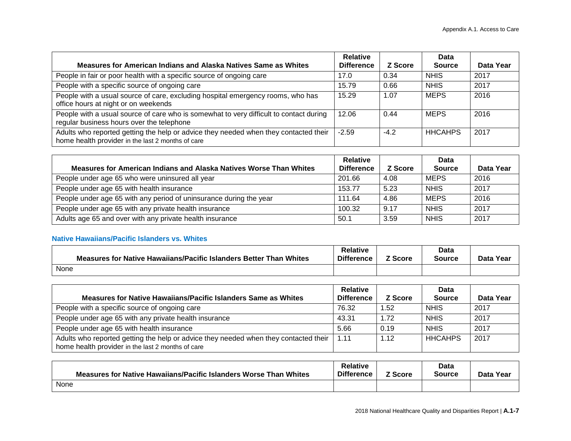|                                                                                                                                           | <b>Relative</b>   |         | Data           |           |
|-------------------------------------------------------------------------------------------------------------------------------------------|-------------------|---------|----------------|-----------|
| Measures for American Indians and Alaska Natives Same as Whites                                                                           | <b>Difference</b> | Z Score | <b>Source</b>  | Data Year |
| People in fair or poor health with a specific source of ongoing care                                                                      | 17.0              | 0.34    | <b>NHIS</b>    | 2017      |
| People with a specific source of ongoing care                                                                                             | 15.79             | 0.66    | <b>NHIS</b>    | 2017      |
| People with a usual source of care, excluding hospital emergency rooms, who has<br>office hours at night or on weekends                   | 15.29             | 1.07    | <b>MEPS</b>    | 2016      |
| People with a usual source of care who is somewhat to very difficult to contact during<br>regular business hours over the telephone       | 12.06             | 0.44    | <b>MEPS</b>    | 2016      |
| Adults who reported getting the help or advice they needed when they contacted their<br>home health provider in the last 2 months of care | $-2.59$           | $-4.2$  | <b>HHCAHPS</b> | 2017      |

|                                                                    | <b>Relative</b>   |         | Data          |           |
|--------------------------------------------------------------------|-------------------|---------|---------------|-----------|
| Measures for American Indians and Alaska Natives Worse Than Whites | <b>Difference</b> | Z Score | <b>Source</b> | Data Year |
| People under age 65 who were uninsured all year                    | 201.66            | 4.08    | <b>MEPS</b>   | 2016      |
| People under age 65 with health insurance                          | 153.77            | 5.23    | <b>NHIS</b>   | 2017      |
| People under age 65 with any period of uninsurance during the year | 111.64            | 4.86    | <b>MEPS</b>   | 2016      |
| People under age 65 with any private health insurance              | 100.32            | 9.17    | <b>NHIS</b>   | 2017      |
| Adults age 65 and over with any private health insurance           | 50.1              | 3.59    | <b>NHIS</b>   | 2017      |

#### **Native Hawaiians/Pacific Islanders vs. Whites**

| Measures for Native Hawaiians/Pacific Islanders Better Than Whites | <b>Relative</b><br><b>Difference</b> | <sup>7</sup> Score | Data<br>Source | Data Year |
|--------------------------------------------------------------------|--------------------------------------|--------------------|----------------|-----------|
| None                                                               |                                      |                    |                |           |

| Measures for Native Hawaiians/Pacific Islanders Same as Whites                                                                            | Relative<br><b>Difference</b> | <b>Z</b> Score | Data<br><b>Source</b> | Data Year |
|-------------------------------------------------------------------------------------------------------------------------------------------|-------------------------------|----------------|-----------------------|-----------|
| People with a specific source of ongoing care                                                                                             | 76.32                         | 1.52           | <b>NHIS</b>           | -2017     |
| People under age 65 with any private health insurance                                                                                     | 43.31                         | 1.72           | <b>NHIS</b>           | -2017     |
| People under age 65 with health insurance                                                                                                 | 5.66                          | 0.19           | <b>NHIS</b>           | 2017      |
| Adults who reported getting the help or advice they needed when they contacted their<br>home health provider in the last 2 months of care | 1.11                          | 1.12           | <b>HHCAHPS</b>        | 2017      |

| Measures for Native Hawaiians/Pacific Islanders Worse Than Whites | <b>Relative</b><br><b>Difference</b> | <sup>7</sup> Score | <b>Data</b><br><b>Source</b> | Data Year |
|-------------------------------------------------------------------|--------------------------------------|--------------------|------------------------------|-----------|
| None                                                              |                                      |                    |                              |           |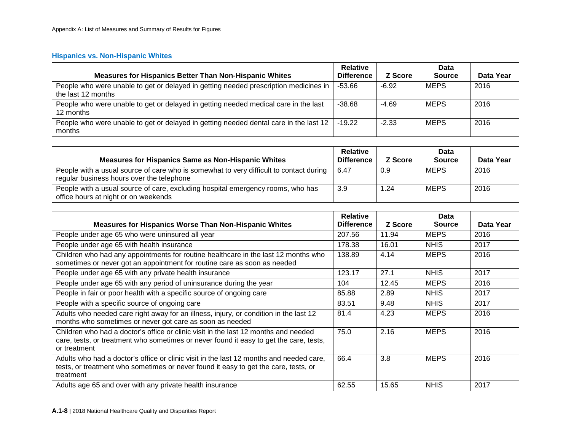#### **Hispanics vs. Non-Hispanic Whites**

|                                                                                                            | <b>Relative</b>   |         | Data          |           |
|------------------------------------------------------------------------------------------------------------|-------------------|---------|---------------|-----------|
| <b>Measures for Hispanics Better Than Non-Hispanic Whites</b>                                              | <b>Difference</b> | Z Score | <b>Source</b> | Data Year |
| People who were unable to get or delayed in getting needed prescription medicines in<br>the last 12 months | $-53.66$          | $-6.92$ | <b>MEPS</b>   | 2016      |
| People who were unable to get or delayed in getting needed medical care in the last<br>12 months           | $-38.68$          | $-4.69$ | <b>MEPS</b>   | 2016      |
| People who were unable to get or delayed in getting needed dental care in the last 12<br>months            | $-19.22$          | $-2.33$ | <b>MEPS</b>   | 2016      |

| <b>Measures for Hispanics Same as Non-Hispanic Whites</b>                                                                           | <b>Relative</b><br><b>Difference</b> | Z Score | Data<br><b>Source</b> | Data Year |
|-------------------------------------------------------------------------------------------------------------------------------------|--------------------------------------|---------|-----------------------|-----------|
| People with a usual source of care who is somewhat to very difficult to contact during<br>regular business hours over the telephone | 6.47                                 | 0.9     | <b>MEPS</b>           | 2016      |
| People with a usual source of care, excluding hospital emergency rooms, who has<br>office hours at night or on weekends             | 3.9                                  | 1.24    | <b>MEPS</b>           | 2016      |

| <b>Measures for Hispanics Worse Than Non-Hispanic Whites</b>                                                                                                                                  | <b>Relative</b><br><b>Difference</b> | Z Score | Data<br><b>Source</b> | Data Year |
|-----------------------------------------------------------------------------------------------------------------------------------------------------------------------------------------------|--------------------------------------|---------|-----------------------|-----------|
| People under age 65 who were uninsured all year                                                                                                                                               | 207.56                               | 11.94   | <b>MEPS</b>           | 2016      |
| People under age 65 with health insurance                                                                                                                                                     | 178.38                               | 16.01   | <b>NHIS</b>           | 2017      |
| Children who had any appointments for routine healthcare in the last 12 months who<br>sometimes or never got an appointment for routine care as soon as needed                                | 138.89                               | 4.14    | <b>MEPS</b>           | 2016      |
| People under age 65 with any private health insurance                                                                                                                                         | 123.17                               | 27.1    | <b>NHIS</b>           | 2017      |
| People under age 65 with any period of uninsurance during the year                                                                                                                            | 104                                  | 12.45   | <b>MEPS</b>           | 2016      |
| People in fair or poor health with a specific source of ongoing care                                                                                                                          | 85.88                                | 2.89    | <b>NHIS</b>           | 2017      |
| People with a specific source of ongoing care                                                                                                                                                 | 83.51                                | 9.48    | <b>NHIS</b>           | 2017      |
| Adults who needed care right away for an illness, injury, or condition in the last 12<br>months who sometimes or never got care as soon as needed                                             | 81.4                                 | 4.23    | <b>MEPS</b>           | 2016      |
| Children who had a doctor's office or clinic visit in the last 12 months and needed<br>care, tests, or treatment who sometimes or never found it easy to get the care, tests,<br>or treatment | 75.0                                 | 2.16    | <b>MEPS</b>           | 2016      |
| Adults who had a doctor's office or clinic visit in the last 12 months and needed care,<br>tests, or treatment who sometimes or never found it easy to get the care, tests, or<br>treatment   | 66.4                                 | 3.8     | <b>MEPS</b>           | 2016      |
| Adults age 65 and over with any private health insurance                                                                                                                                      | 62.55                                | 15.65   | <b>NHIS</b>           | 2017      |